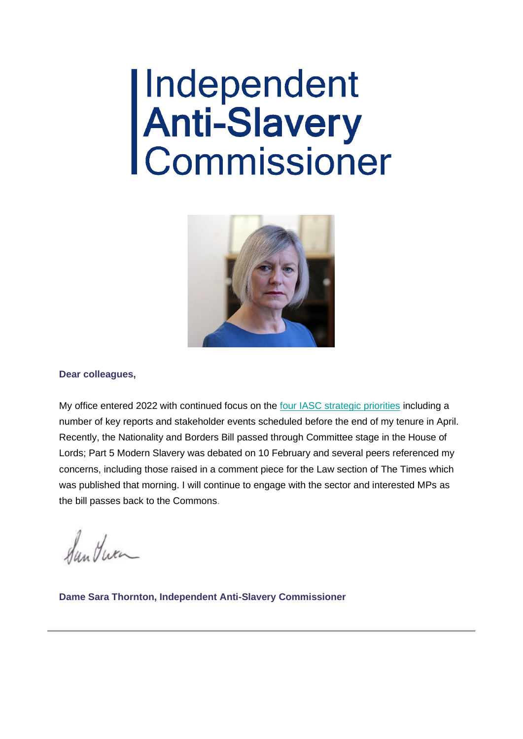# |Independent<br>|Anti-Slavery<br>|Commissioner



#### **Dear colleagues,**

My office entered 2022 with continued focus on the [four IASC strategic priorities](https://www.antislaverycommissioner.co.uk/media/1329/independent-anti-slavery-commissioners-strategic-plan-19-21-screen-readable.pdf) including a number of key reports and stakeholder events scheduled before the end of my tenure in April. Recently, the Nationality and Borders Bill passed through Committee stage in the House of Lords; Part 5 Modern Slavery was debated on 10 February and several peers referenced my concerns, including those raised in a comment piece for the Law section of The Times which was published that morning. I will continue to engage with the sector and interested MPs as the bill passes back to the Commons.

Sun Huen

**Dame Sara Thornton, Independent Anti-Slavery Commissioner**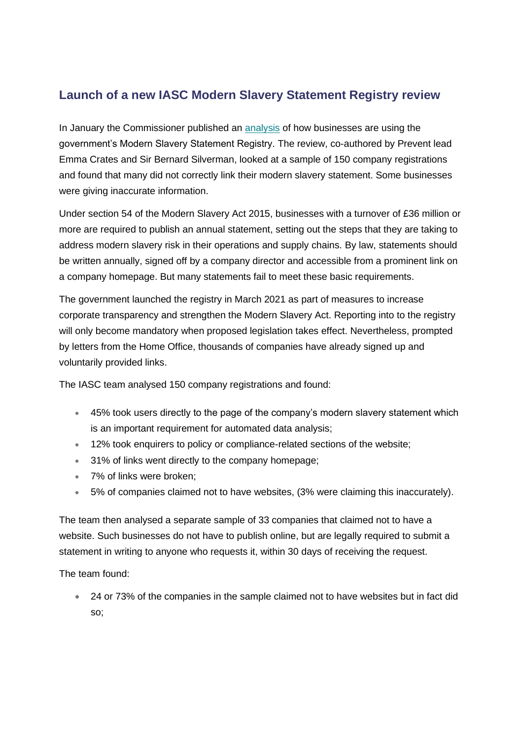## **Launch of a new IASC Modern Slavery Statement Registry review**

In January the Commissioner published an [analysis](https://www.antislaverycommissioner.co.uk/media/1738/linking-to-the-modern-slavery-statement-registry-an-exploratory-study-of-corporate-behaviour-january-2022.pdf) of how businesses are using the government's Modern Slavery Statement Registry. The review, co-authored by Prevent lead Emma Crates and Sir Bernard Silverman, looked at a sample of 150 company registrations and found that many did not correctly link their modern slavery statement. Some businesses were giving inaccurate information.

Under section 54 of the Modern Slavery Act 2015, businesses with a turnover of £36 million or more are required to publish an annual statement, setting out the steps that they are taking to address modern slavery risk in their operations and supply chains. By law, statements should be written annually, signed off by a company director and accessible from a prominent link on a company homepage. But many statements fail to meet these basic requirements.

The government launched the registry in March 2021 as part of measures to increase corporate transparency and strengthen the Modern Slavery Act. Reporting into to the registry will only become mandatory when proposed legislation takes effect. Nevertheless, prompted by letters from the Home Office, thousands of companies have already signed up and voluntarily provided links.

The IASC team analysed 150 company registrations and found:

- 45% took users directly to the page of the company's modern slavery statement which is an important requirement for automated data analysis;
- 12% took enquirers to policy or compliance-related sections of the website;
- 31% of links went directly to the company homepage;
- 7% of links were broken;
- 5% of companies claimed not to have websites, (3% were claiming this inaccurately).

The team then analysed a separate sample of 33 companies that claimed not to have a website. Such businesses do not have to publish online, but are legally required to submit a statement in writing to anyone who requests it, within 30 days of receiving the request.

The team found:

• 24 or 73% of the companies in the sample claimed not to have websites but in fact did so;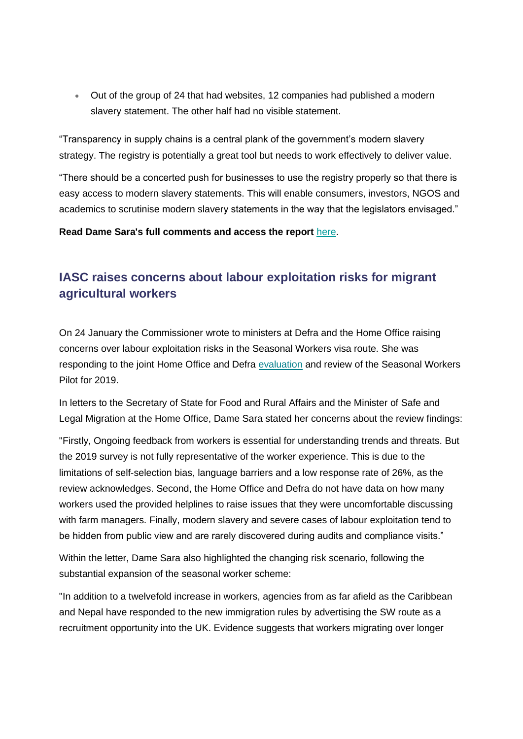• Out of the group of 24 that had websites, 12 companies had published a modern slavery statement. The other half had no visible statement.

"Transparency in supply chains is a central plank of the government's modern slavery strategy. The registry is potentially a great tool but needs to work effectively to deliver value.

"There should be a concerted push for businesses to use the registry properly so that there is easy access to modern slavery statements. This will enable consumers, investors, NGOS and academics to scrutinise modern slavery statements in the way that the legislators envisaged."

**Read Dame Sara's full comments and access the report** [here.](https://www.antislaverycommissioner.co.uk/media/1738/linking-to-the-modern-slavery-statement-registry-an-exploratory-study-of-corporate-behaviour-january-2022.pdf)

# **IASC raises concerns about labour exploitation risks for migrant agricultural workers**

On 24 January the Commissioner wrote to ministers at Defra and the Home Office raising concerns over labour exploitation risks in the Seasonal Workers visa route. She was responding to the joint Home Office and Defra [evaluation](https://www.gov.uk/government/publications/seasonal-workers-pilot-review) and review of the Seasonal Workers Pilot for 2019.

In letters to the Secretary of State for Food and Rural Affairs and the Minister of Safe and Legal Migration at the Home Office, Dame Sara stated her concerns about the review findings:

"Firstly, Ongoing feedback from workers is essential for understanding trends and threats. But the 2019 survey is not fully representative of the worker experience. This is due to the limitations of self-selection bias, language barriers and a low response rate of 26%, as the review acknowledges. Second, the Home Office and Defra do not have data on how many workers used the provided helplines to raise issues that they were uncomfortable discussing with farm managers. Finally, modern slavery and severe cases of labour exploitation tend to be hidden from public view and are rarely discovered during audits and compliance visits."

Within the letter, Dame Sara also highlighted the changing risk scenario, following the substantial expansion of the seasonal worker scheme:

"In addition to a twelvefold increase in workers, agencies from as far afield as the Caribbean and Nepal have responded to the new immigration rules by advertising the SW route as a recruitment opportunity into the UK. Evidence suggests that workers migrating over longer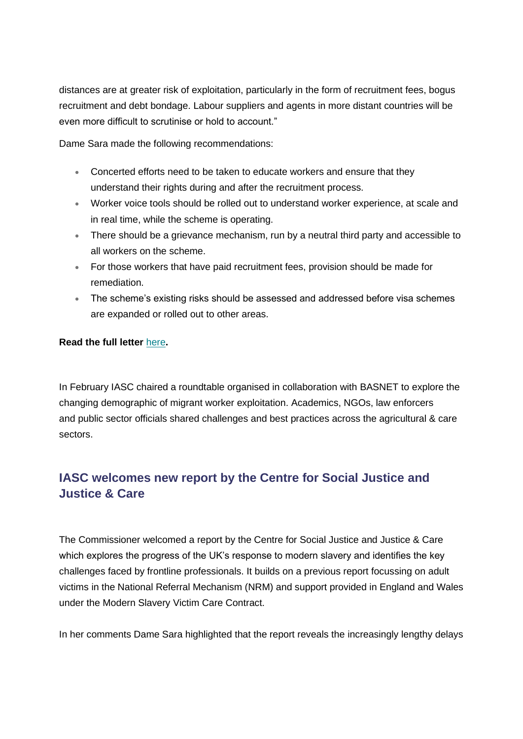distances are at greater risk of exploitation, particularly in the form of recruitment fees, bogus recruitment and debt bondage. Labour suppliers and agents in more distant countries will be even more difficult to scrutinise or hold to account."

Dame Sara made the following recommendations:

- Concerted efforts need to be taken to educate workers and ensure that they understand their rights during and after the recruitment process.
- Worker voice tools should be rolled out to understand worker experience, at scale and in real time, while the scheme is operating.
- There should be a grievance mechanism, run by a neutral third party and accessible to all workers on the scheme.
- For those workers that have paid recruitment fees, provision should be made for remediation.
- The scheme's existing risks should be assessed and addressed before visa schemes are expanded or rolled out to other areas.

#### **Read the full letter** [here](https://www.antislaverycommissioner.co.uk/media/1733/iasc-letters-to-ministers-about-exploitation-risk-for-migrant-agricultural-workers.pdf)**.**

In February IASC chaired a roundtable organised in collaboration with BASNET to explore the changing demographic of migrant worker exploitation. Academics, NGOs, law enforcers and public sector officials shared challenges and best practices across the agricultural & care sectors.

## **IASC welcomes new report by the Centre for Social Justice and Justice & Care**

The Commissioner welcomed a report by the Centre for Social Justice and Justice & Care which explores the progress of the UK's response to modern slavery and identifies the key challenges faced by frontline professionals. It builds on a previous report focussing on adult victims in the National Referral Mechanism (NRM) and support provided in England and Wales under the Modern Slavery Victim Care Contract.

In her comments Dame Sara highlighted that the report reveals the increasingly lengthy delays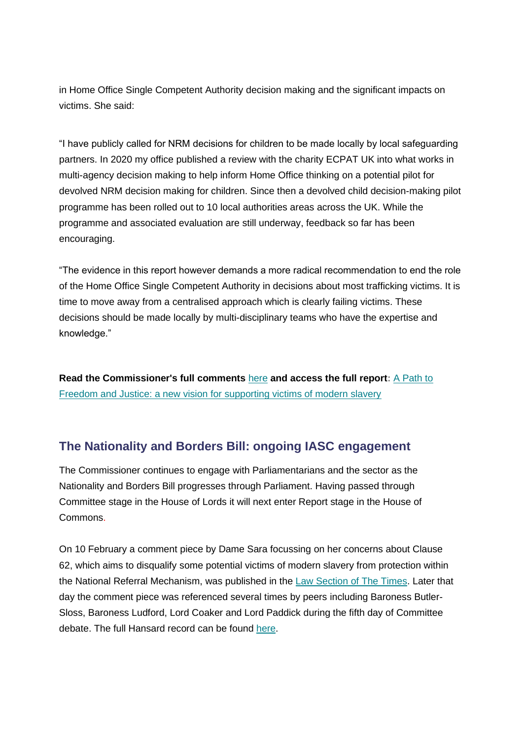in Home Office Single Competent Authority decision making and the significant impacts on victims. She said:

"I have publicly called for NRM decisions for children to be made locally by local safeguarding partners. In 2020 my office published a review with the charity ECPAT UK into what works in multi-agency decision making to help inform Home Office thinking on a potential pilot for devolved NRM decision making for children. Since then a devolved child decision-making pilot programme has been rolled out to 10 local authorities areas across the UK. While the programme and associated evaluation are still underway, feedback so far has been encouraging.

"The evidence in this report however demands a more radical recommendation to end the role of the Home Office Single Competent Authority in decisions about most trafficking victims. It is time to move away from a centralised approach which is clearly failing victims. These decisions should be made locally by multi-disciplinary teams who have the expertise and knowledge."

**Read the Commissioner's full comments** [here](https://www.antislaverycommissioner.co.uk/news-insights/dame-sara-welcomes-new-report-by-justice-and-care-and-the-centre-for-social-justice/) **and access the full report:** [A Path to](https://justiceandcare.org/wp-content/uploads/2022/01/CSJ-JC-A-Path-to-Freedom-and-Justice-a-new-vision-for-supporting-victims-of-modern-slavery-single-pages.pdf)  [Freedom and Justice: a new vision for supporting victims of modern slavery](https://justiceandcare.org/wp-content/uploads/2022/01/CSJ-JC-A-Path-to-Freedom-and-Justice-a-new-vision-for-supporting-victims-of-modern-slavery-single-pages.pdf)

## **The Nationality and Borders Bill: ongoing IASC engagement**

The Commissioner continues to engage with Parliamentarians and the sector as the Nationality and Borders Bill progresses through Parliament. Having passed through Committee stage in the House of Lords it will next enter Report stage in the House of Commons.

On 10 February a comment piece by Dame Sara focussing on her concerns about Clause 62, which aims to disqualify some potential victims of modern slavery from protection within the National Referral Mechanism, was published in the [Law Section of The Times.](https://www.antislaverycommissioner.co.uk/news-insights/dame-sara-comments-on-clause-62-of-the-nationality-and-borders-bill-in-the-times/) Later that day the comment piece was referenced several times by peers including Baroness Butler-Sloss, Baroness Ludford, Lord Coaker and Lord Paddick during the fifth day of Committee debate. The full Hansard record can be found [here.](https://hansard.parliament.uk/Lords/2022-02-10/debates/77D527E6-362A-4F96-9CDD-1BDD25FFA5EA/NationalityAndBordersBill)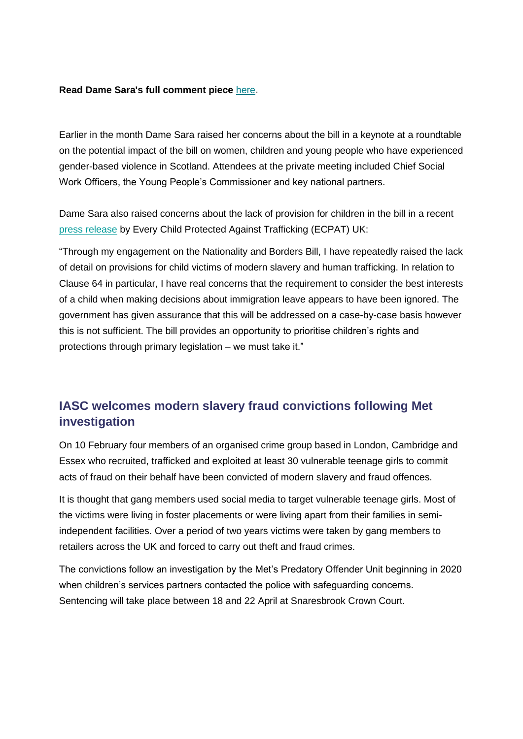#### **Read Dame Sara's full comment piece [here](https://www.antislaverycommissioner.co.uk/news-insights/dame-sara-comments-on-clause-62-of-the-nationality-and-borders-bill-in-the-times/).**

Earlier in the month Dame Sara raised her concerns about the bill in a keynote at a roundtable on the potential impact of the bill on women, children and young people who have experienced gender-based violence in Scotland. Attendees at the private meeting included Chief Social Work Officers, the Young People's Commissioner and key national partners.

Dame Sara also raised concerns about the lack of provision for children in the bill in a recent [press release](https://www.ecpat.org.uk/news/new-data-obtained-from-the-home-office-shows-only-2-of-child-victims-of-trafficking-are-given-discretionary-leave-to-remain-in-the-uk) by Every Child Protected Against Trafficking (ECPAT) UK:

"Through my engagement on the Nationality and Borders Bill, I have repeatedly raised the lack of detail on provisions for child victims of modern slavery and human trafficking. In relation to Clause 64 in particular, I have real concerns that the requirement to consider the best interests of a child when making decisions about immigration leave appears to have been ignored. The government has given assurance that this will be addressed on a case-by-case basis however this is not sufficient. The bill provides an opportunity to prioritise children's rights and protections through primary legislation – we must take it."

## **IASC welcomes modern slavery fraud convictions following Met investigation**

On 10 February four members of an organised crime group based in London, Cambridge and Essex who recruited, trafficked and exploited at least 30 vulnerable teenage girls to commit acts of fraud on their behalf have been convicted of modern slavery and fraud offences.

It is thought that gang members used social media to target vulnerable teenage girls. Most of the victims were living in foster placements or were living apart from their families in semiindependent facilities. Over a period of two years victims were taken by gang members to retailers across the UK and forced to carry out theft and fraud crimes.

The convictions follow an investigation by the Met's Predatory Offender Unit beginning in 2020 when children's services partners contacted the police with safeguarding concerns. Sentencing will take place between 18 and 22 April at Snaresbrook Crown Court.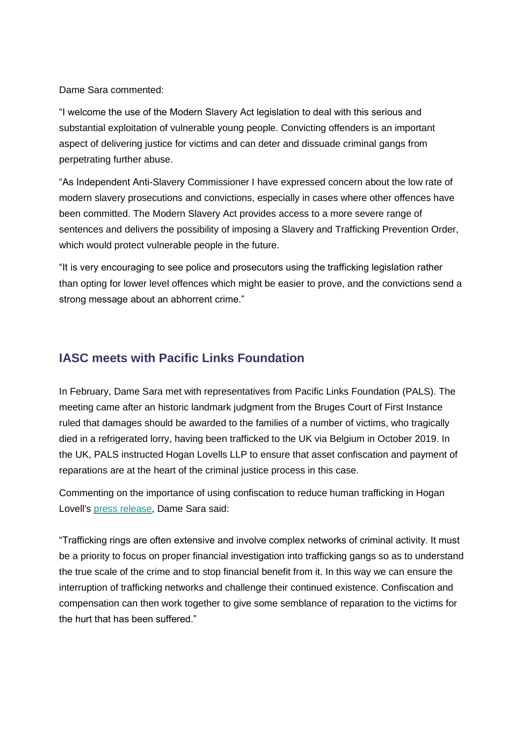Dame Sara commented:

"I welcome the use of the Modern Slavery Act legislation to deal with this serious and substantial exploitation of vulnerable young people. Convicting offenders is an important aspect of delivering justice for victims and can deter and dissuade criminal gangs from perpetrating further abuse.

"As Independent Anti-Slavery Commissioner I have expressed concern about the low rate of modern slavery prosecutions and convictions, especially in cases where other offences have been committed. The Modern Slavery Act provides access to a more severe range of sentences and delivers the possibility of imposing a Slavery and Trafficking Prevention Order, which would protect vulnerable people in the future.

"It is very encouraging to see police and prosecutors using the trafficking legislation rather than opting for lower level offences which might be easier to prove, and the convictions send a strong message about an abhorrent crime."

## **IASC meets with Pacific Links Foundation**

In February, Dame Sara met with representatives from Pacific Links Foundation (PALS). The meeting came after an historic landmark judgment from the Bruges Court of First Instance ruled that damages should be awarded to the families of a number of victims, who tragically died in a refrigerated lorry, having been trafficked to the UK via Belgium in October 2019. In the UK, PALS instructed Hogan Lovells LLP to ensure that asset confiscation and payment of reparations are at the heart of the criminal justice process in this case.

Commenting on the importance of using confiscation to reduce human trafficking in Hogan Lovell's [press release,](https://www.hoganlovells.com/en/news/hogan-lovells-secures-landmark-win-in-essex-lorry-human-trafficking-case) Dame Sara said:

"Trafficking rings are often extensive and involve complex networks of criminal activity. It must be a priority to focus on proper financial investigation into trafficking gangs so as to understand the true scale of the crime and to stop financial benefit from it. In this way we can ensure the interruption of trafficking networks and challenge their continued existence. Confiscation and compensation can then work together to give some semblance of reparation to the victims for the hurt that has been suffered."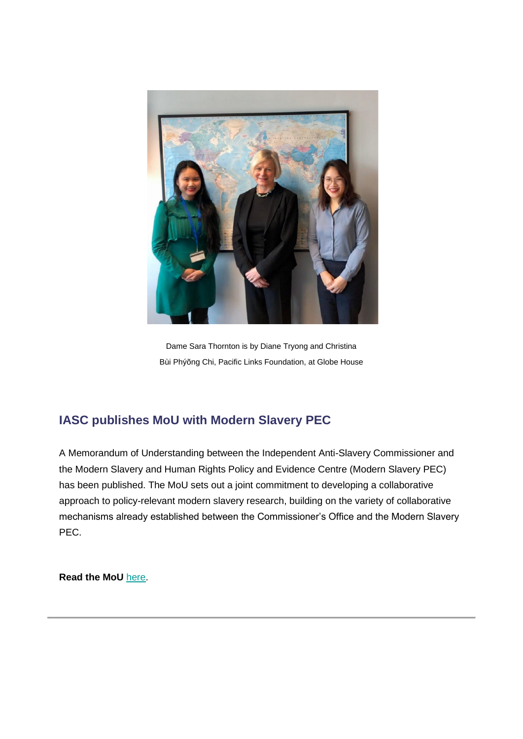

Dame Sara Thornton is by Diane Tryong and Christina Bùi Phýõng Chi, Pacific Links Foundation, at Globe House

# **IASC publishes MoU with Modern Slavery PEC**

A Memorandum of Understanding between the Independent Anti-Slavery Commissioner and the Modern Slavery and Human Rights Policy and Evidence Centre (Modern Slavery PEC) has been published. The MoU sets out a joint commitment to developing a collaborative approach to policy-relevant modern slavery research, building on the variety of collaborative mechanisms already established between the Commissioner's Office and the Modern Slavery PEC.

**Read the MoU** [here.](https://www.antislaverycommissioner.co.uk/media/1746/iasc-and-mspec-mou.pdf)